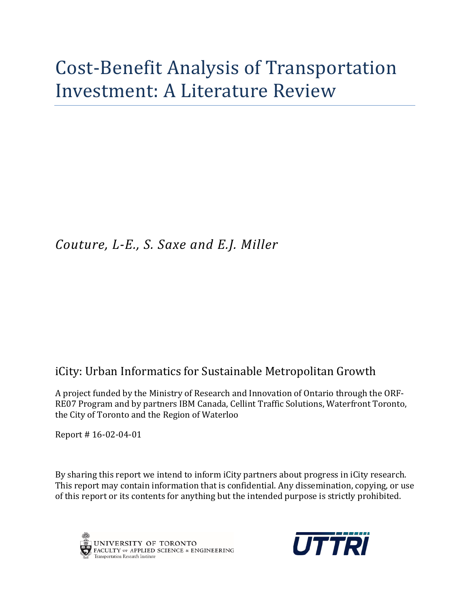# Cost-Benefit Analysis of Transportation Investment: A Literature Review

# *Couture, L-E., S. Saxe and E.J. Miller*

## iCity: Urban Informatics for Sustainable Metropolitan Growth

A project funded by the Ministry of Research and Innovation of Ontario through the ORF-RE07 Program and by partners IBM Canada, Cellint Traffic Solutions, Waterfront Toronto, the City of Toronto and the Region of Waterloo

Report # 16-02-04-01

By sharing this report we intend to inform iCity partners about progress in iCity research. This report may contain information that is confidential. Any dissemination, copying, or use of this report or its contents for anything but the intended purpose is strictly prohibited.



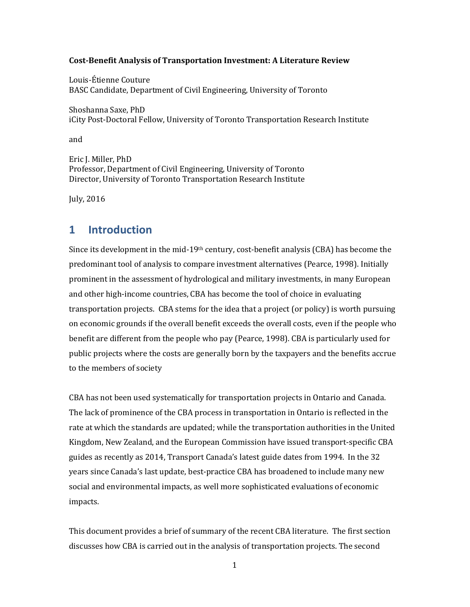#### **Cost-Benefit Analysis of Transportation Investment: A Literature Review**

Louis-Étienne Couture BASC Candidate, Department of Civil Engineering, University of Toronto

Shoshanna Saxe, PhD iCity Post-Doctoral Fellow, University of Toronto Transportation Research Institute

and

Eric J. Miller, PhD Professor, Department of Civil Engineering, University of Toronto Director, University of Toronto Transportation Research Institute

July, 2016

### **1 Introduction**

Since its development in the mid-19<sup>th</sup> century, cost-benefit analysis (CBA) has become the predominant tool of analysis to compare investment alternatives (Pearce, 1998). Initially prominent in the assessment of hydrological and military investments, in many European and other high-income countries, CBA has become the tool of choice in evaluating transportation projects. CBA stems for the idea that a project (or policy) is worth pursuing on economic grounds if the overall benefit exceeds the overall costs, even if the people who benefit are different from the people who pay (Pearce, 1998). CBA is particularly used for public projects where the costs are generally born by the taxpayers and the benefits accrue to the members of society

CBA has not been used systematically for transportation projects in Ontario and Canada. The lack of prominence of the CBA process in transportation in Ontario is reflected in the rate at which the standards are updated; while the transportation authorities in the United Kingdom, New Zealand, and the European Commission have issued transport-specific CBA guides as recently as 2014, Transport Canada's latest guide dates from 1994. In the 32 years since Canada's last update, best-practice CBA has broadened to include many new social and environmental impacts, as well more sophisticated evaluations of economic impacts.

This document provides a brief of summary of the recent CBA literature. The first section discusses how CBA is carried out in the analysis of transportation projects. The second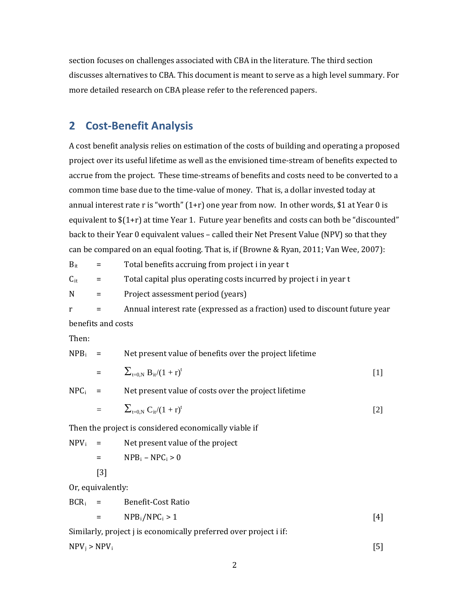section focuses on challenges associated with CBA in the literature. The third section discusses alternatives to CBA. This document is meant to serve as a high level summary. For more detailed research on CBA please refer to the referenced papers.

### **2 Cost-Benefit Analysis**

A cost benefit analysis relies on estimation of the costs of building and operating a proposed project over its useful lifetime as well as the envisioned time-stream of benefits expected to accrue from the project. These time-streams of benefits and costs need to be converted to a common time base due to the time-value of money. That is, a dollar invested today at annual interest rate r is "worth"  $(1+r)$  one year from now. In other words, \$1 at Year 0 is equivalent to \$(1+r) at time Year 1. Future year benefits and costs can both be "discounted" back to their Year 0 equivalent values – called their Net Present Value (NPV) so that they can be compared on an equal footing. That is, if (Browne & Ryan, 2011; Van Wee, 2007):

| $B_{ir}$ | $\mathbf{r} = \mathbf{r}$ | Total benefits accruing from project i in year t                            |
|----------|---------------------------|-----------------------------------------------------------------------------|
| $C_{it}$ | $=$ $-$                   | Total capital plus operating costs incurred by project i in year t          |
| N        | $=$                       | Project assessment period (years)                                           |
|          | $=$ $-$                   | Annual interest rate (expressed as a fraction) used to discount future year |

benefits and costs

Then:

 $NPB<sub>i</sub>$  = Net present value of benefits over the project lifetime

$$
= \sum_{t=0,N} B_{it}/(1+r)^t
$$
 [1]

 $NPC_i$  = Net present value of costs over the project lifetime

$$
= \sum_{t=0,N} C_{it} / (1+r)^t
$$
 [2]

Then the project is considered economically viable if

 $NPV_i$  = Net present value of the project  $=$  NPB<sub>i</sub> – NPC<sub>i</sub> > 0

[3]

Or, equivalently:

$$
BCRi = \text{Benefit-Cost Ratio}
$$
  
= NPB<sub>i</sub>/NPC<sub>i</sub> > 1 [4]

Similarly, project j is economically preferred over project i if:

 $NPV_i > NPV_i$  [5]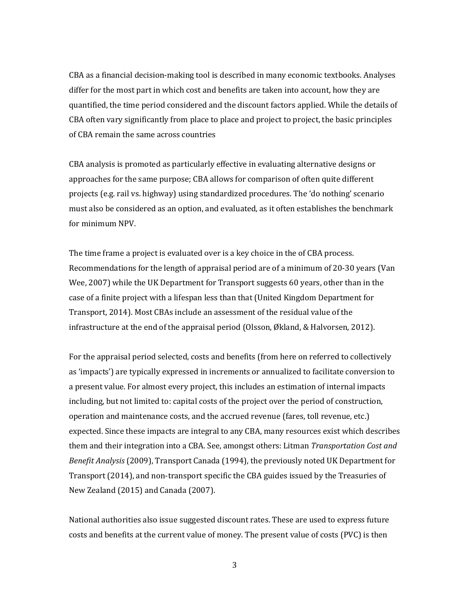CBA as a financial decision-making tool is described in many economic textbooks. Analyses differ for the most part in which cost and benefits are taken into account, how they are quantified, the time period considered and the discount factors applied. While the details of CBA often vary significantly from place to place and project to project, the basic principles of CBA remain the same across countries

CBA analysis is promoted as particularly effective in evaluating alternative designs or approaches for the same purpose; CBA allows for comparison of often quite different projects (e.g. rail vs. highway) using standardized procedures. The 'do nothing' scenario must also be considered as an option, and evaluated, as it often establishes the benchmark for minimum NPV.

The time frame a project is evaluated over is a key choice in the of CBA process. Recommendations for the length of appraisal period are of a minimum of 20-30 years (Van Wee, 2007) while the UK Department for Transport suggests 60 years, other than in the case of a finite project with a lifespan less than that (United Kingdom Department for Transport, 2014). Most CBAs include an assessment of the residual value of the infrastructure at the end of the appraisal period (Olsson, Økland, & Halvorsen, 2012).

For the appraisal period selected, costs and benefits (from here on referred to collectively as 'impacts') are typically expressed in increments or annualized to facilitate conversion to a present value. For almost every project, this includes an estimation of internal impacts including, but not limited to: capital costs of the project over the period of construction, operation and maintenance costs, and the accrued revenue (fares, toll revenue, etc.) expected. Since these impacts are integral to any CBA, many resources exist which describes them and their integration into a CBA. See, amongst others: Litman *Transportation Cost and Benefit Analysis* (2009), Transport Canada (1994), the previously noted UK Department for Transport (2014), and non-transport specific the CBA guides issued by the Treasuries of New Zealand (2015) and Canada (2007).

National authorities also issue suggested discount rates. These are used to express future costs and benefits at the current value of money. The present value of costs (PVC) is then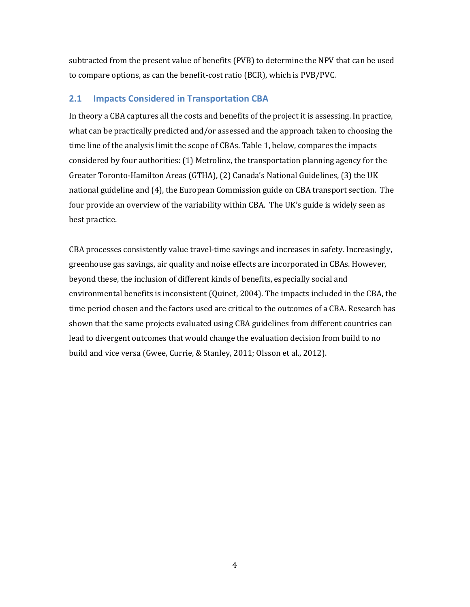subtracted from the present value of benefits (PVB) to determine the NPV that can be used to compare options, as can the benefit-cost ratio (BCR), which is PVB/PVC.

### **2.1 Impacts Considered in Transportation CBA**

In theory a CBA captures all the costs and benefits of the project it is assessing. In practice, what can be practically predicted and/or assessed and the approach taken to choosing the time line of the analysis limit the scope of CBAs. Table 1, below, compares the impacts considered by four authorities: (1) Metrolinx, the transportation planning agency for the Greater Toronto-Hamilton Areas (GTHA), (2) Canada's National Guidelines, (3) the UK national guideline and (4), the European Commission guide on CBA transport section. The four provide an overview of the variability within CBA. The UK's guide is widely seen as best practice.

CBA processes consistently value travel-time savings and increases in safety. Increasingly, greenhouse gas savings, air quality and noise effects are incorporated in CBAs. However, beyond these, the inclusion of different kinds of benefits, especially social and environmental benefits is inconsistent (Quinet, 2004). The impacts included in the CBA, the time period chosen and the factors used are critical to the outcomes of a CBA. Research has shown that the same projects evaluated using CBA guidelines from different countries can lead to divergent outcomes that would change the evaluation decision from build to no build and vice versa (Gwee, Currie, & Stanley, 2011; Olsson et al., 2012).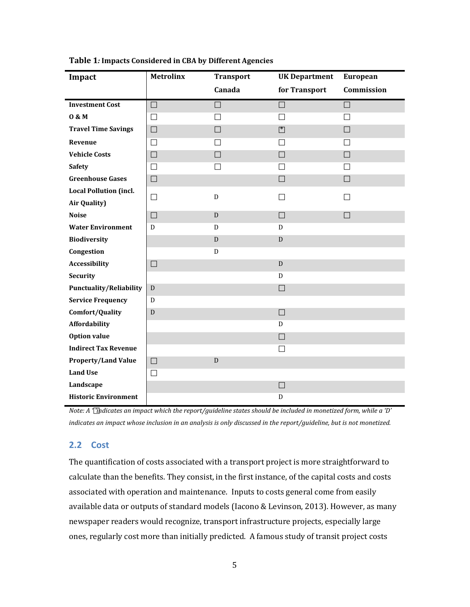| Impact                         | <b>Metrolinx</b> | <b>Transport</b>         | <b>UK Department</b> | <b>European</b> |
|--------------------------------|------------------|--------------------------|----------------------|-----------------|
|                                |                  | Canada                   | for Transport        | Commission      |
| <b>Investment Cost</b>         | $\Box$           | $\Box$                   | $\Box$               | $\Box$          |
| 0 & M                          | П                | $\overline{\phantom{a}}$ | $\mathsf{L}$         |                 |
| <b>Travel Time Savings</b>     | $\Box$           | $\Box$                   | ■                    | $\Box$          |
| Revenue                        | $\Box$           | П                        | П                    | П               |
| <b>Vehicle Costs</b>           | $\Box$           | $\Box$                   | $\Box$               | $\Box$          |
| <b>Safety</b>                  | $\Box$           | $\Box$                   | □                    | Ш               |
| <b>Greenhouse Gases</b>        | $\Box$           |                          | $\Box$               | $\Box$          |
| <b>Local Pollution (incl.</b>  | $\Box$           | D                        | П                    | П               |
| Air Quality)                   |                  |                          |                      |                 |
| <b>Noise</b>                   | $\Box$           | D                        | $\Box$               | П               |
| <b>Water Environment</b>       | D                | D                        | D                    |                 |
| <b>Biodiversity</b>            |                  | ${\bf D}$                | D                    |                 |
| Congestion                     |                  | D                        |                      |                 |
| Accessibility                  | $\Box$           |                          | D                    |                 |
| <b>Security</b>                |                  |                          | D                    |                 |
| <b>Punctuality/Reliability</b> | D                |                          | $\Box$               |                 |
| <b>Service Frequency</b>       | D                |                          |                      |                 |
| Comfort/Quality                | D                |                          | $\Box$               |                 |
| Affordability                  |                  |                          | D                    |                 |
| <b>Option value</b>            |                  |                          | $\Box$               |                 |
| <b>Indirect Tax Revenue</b>    |                  |                          | $\Box$               |                 |
| <b>Property/Land Value</b>     | $\Box$           | ${\bf D}$                |                      |                 |
| <b>Land Use</b>                | $\Box$           |                          |                      |                 |
| Landscape                      |                  |                          | $\Box$               |                 |
| <b>Historic Environment</b>    |                  |                          | D                    |                 |

**Table 1***:* **Impacts Considered in CBA by Different Agencies**

*Note: A ''indicates an impact which the report/guideline states should be included in monetized form, while a 'D' indicates an impact whose inclusion in an analysis is only discussed in the report/guideline, but is not monetized.*

#### **2.2 Cost**

The quantification of costs associated with a transport project is more straightforward to calculate than the benefits. They consist, in the first instance, of the capital costs and costs associated with operation and maintenance. Inputs to costs general come from easily available data or outputs of standard models (Iacono & Levinson, 2013). However, as many newspaper readers would recognize, transport infrastructure projects, especially large ones, regularly cost more than initially predicted. A famous study of transit project costs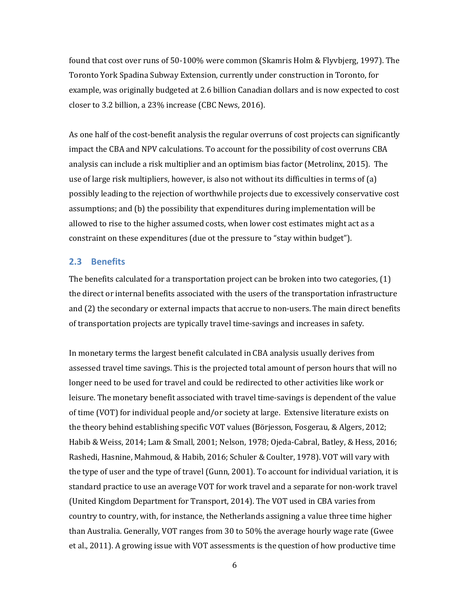found that cost over runs of 50-100% were common (Skamris Holm & Flyvbjerg, 1997). The Toronto York Spadina Subway Extension, currently under construction in Toronto, for example, was originally budgeted at 2.6 billion Canadian dollars and is now expected to cost closer to 3.2 billion, a 23% increase (CBC News, 2016).

As one half of the cost-benefit analysis the regular overruns of cost projects can significantly impact the CBA and NPV calculations. To account for the possibility of cost overruns CBA analysis can include a risk multiplier and an optimism bias factor (Metrolinx, 2015). The use of large risk multipliers, however, is also not without its difficulties in terms of (a) possibly leading to the rejection of worthwhile projects due to excessively conservative cost assumptions; and (b) the possibility that expenditures during implementation will be allowed to rise to the higher assumed costs, when lower cost estimates might act as a constraint on these expenditures (due ot the pressure to "stay within budget").

#### **2.3 Benefits**

The benefits calculated for a transportation project can be broken into two categories, (1) the direct or internal benefits associated with the users of the transportation infrastructure and (2) the secondary or external impacts that accrue to non-users. The main direct benefits of transportation projects are typically travel time-savings and increases in safety.

In monetary terms the largest benefit calculated in CBA analysis usually derives from assessed travel time savings. This is the projected total amount of person hours that will no longer need to be used for travel and could be redirected to other activities like work or leisure. The monetary benefit associated with travel time-savings is dependent of the value of time (VOT) for individual people and/or society at large. Extensive literature exists on the theory behind establishing specific VOT values (Börjesson, Fosgerau, & Algers, 2012; Habib & Weiss, 2014; Lam & Small, 2001; Nelson, 1978; Ojeda-Cabral, Batley, & Hess, 2016; Rashedi, Hasnine, Mahmoud, & Habib, 2016; Schuler & Coulter, 1978). VOT will vary with the type of user and the type of travel (Gunn, 2001). To account for individual variation, it is standard practice to use an average VOT for work travel and a separate for non-work travel (United Kingdom Department for Transport, 2014). The VOT used in CBA varies from country to country, with, for instance, the Netherlands assigning a value three time higher than Australia. Generally, VOT ranges from 30 to 50% the average hourly wage rate (Gwee et al., 2011). A growing issue with VOT assessments is the question of how productive time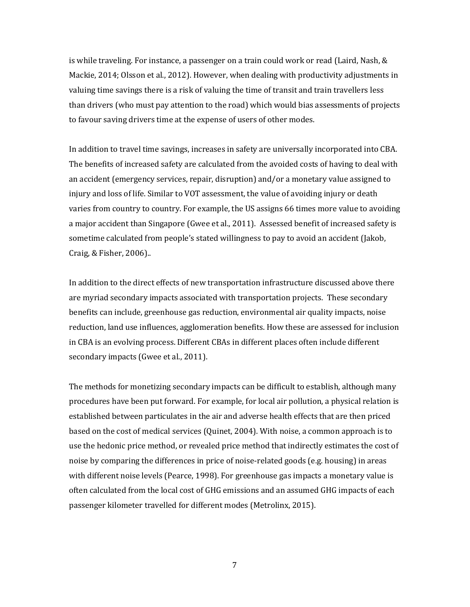is while traveling. For instance, a passenger on a train could work or read (Laird, Nash, & Mackie, 2014; Olsson et al., 2012). However, when dealing with productivity adjustments in valuing time savings there is a risk of valuing the time of transit and train travellers less than drivers (who must pay attention to the road) which would bias assessments of projects to favour saving drivers time at the expense of users of other modes.

In addition to travel time savings, increases in safety are universally incorporated into CBA. The benefits of increased safety are calculated from the avoided costs of having to deal with an accident (emergency services, repair, disruption) and/or a monetary value assigned to injury and loss of life. Similar to VOT assessment, the value of avoiding injury or death varies from country to country. For example, the US assigns 66 times more value to avoiding a major accident than Singapore (Gwee et al., 2011). Assessed benefit of increased safety is sometime calculated from people's stated willingness to pay to avoid an accident (Jakob, Craig, & Fisher, 2006)..

In addition to the direct effects of new transportation infrastructure discussed above there are myriad secondary impacts associated with transportation projects. These secondary benefits can include, greenhouse gas reduction, environmental air quality impacts, noise reduction, land use influences, agglomeration benefits. How these are assessed for inclusion in CBA is an evolving process. Different CBAs in different places often include different secondary impacts (Gwee et al., 2011).

The methods for monetizing secondary impacts can be difficult to establish, although many procedures have been put forward. For example, for local air pollution, a physical relation is established between particulates in the air and adverse health effects that are then priced based on the cost of medical services (Quinet, 2004). With noise, a common approach is to use the hedonic price method, or revealed price method that indirectly estimates the cost of noise by comparing the differences in price of noise-related goods (e.g. housing) in areas with different noise levels (Pearce, 1998). For greenhouse gas impacts a monetary value is often calculated from the local cost of GHG emissions and an assumed GHG impacts of each passenger kilometer travelled for different modes (Metrolinx, 2015).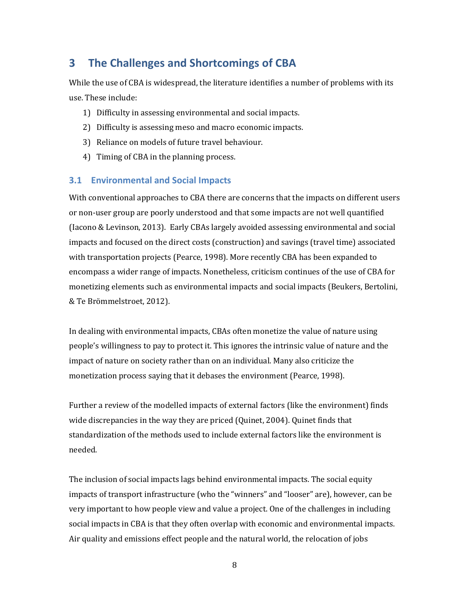### **3 The Challenges and Shortcomings of CBA**

While the use of CBA is widespread, the literature identifies a number of problems with its use. These include:

- 1) Difficulty in assessing environmental and social impacts.
- 2) Difficulty is assessing meso and macro economic impacts.
- 3) Reliance on models of future travel behaviour.
- 4) Timing of CBA in the planning process.

#### **3.1 Environmental and Social Impacts**

With conventional approaches to CBA there are concerns that the impacts on different users or non-user group are poorly understood and that some impacts are not well quantified (Iacono & Levinson, 2013). Early CBAs largely avoided assessing environmental and social impacts and focused on the direct costs (construction) and savings (travel time) associated with transportation projects (Pearce, 1998). More recently CBA has been expanded to encompass a wider range of impacts. Nonetheless, criticism continues of the use of CBA for monetizing elements such as environmental impacts and social impacts (Beukers, Bertolini, & Te Brömmelstroet, 2012).

In dealing with environmental impacts, CBAs often monetize the value of nature using people's willingness to pay to protect it. This ignores the intrinsic value of nature and the impact of nature on society rather than on an individual. Many also criticize the monetization process saying that it debases the environment (Pearce, 1998).

Further a review of the modelled impacts of external factors (like the environment) finds wide discrepancies in the way they are priced (Quinet, 2004). Quinet finds that standardization of the methods used to include external factors like the environment is needed.

The inclusion of social impacts lags behind environmental impacts. The social equity impacts of transport infrastructure (who the "winners" and "looser" are), however, can be very important to how people view and value a project. One of the challenges in including social impacts in CBA is that they often overlap with economic and environmental impacts. Air quality and emissions effect people and the natural world, the relocation of jobs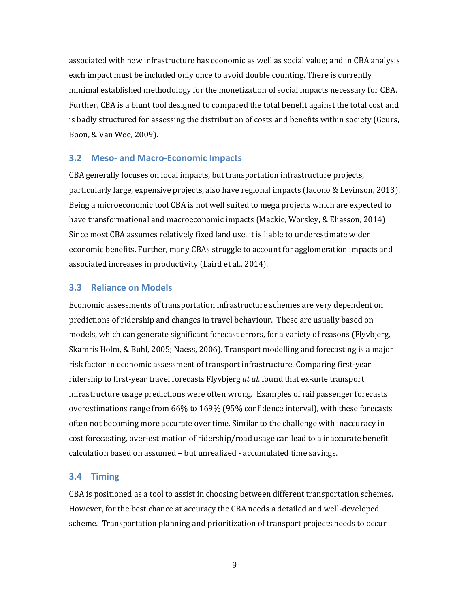associated with new infrastructure has economic as well as social value; and in CBA analysis each impact must be included only once to avoid double counting. There is currently minimal established methodology for the monetization of social impacts necessary for CBA. Further, CBA is a blunt tool designed to compared the total benefit against the total cost and is badly structured for assessing the distribution of costs and benefits within society (Geurs, Boon, & Van Wee, 2009).

#### **3.2 Meso- and Macro-Economic Impacts**

CBA generally focuses on local impacts, but transportation infrastructure projects, particularly large, expensive projects, also have regional impacts (Iacono & Levinson, 2013). Being a microeconomic tool CBA is not well suited to mega projects which are expected to have transformational and macroeconomic impacts (Mackie, Worsley, & Eliasson, 2014) Since most CBA assumes relatively fixed land use, it is liable to underestimate wider economic benefits. Further, many CBAs struggle to account for agglomeration impacts and associated increases in productivity (Laird et al., 2014).

#### **3.3 Reliance on Models**

Economic assessments of transportation infrastructure schemes are very dependent on predictions of ridership and changes in travel behaviour. These are usually based on models, which can generate significant forecast errors, for a variety of reasons (Flyvbjerg, Skamris Holm, & Buhl, 2005; Naess, 2006). Transport modelling and forecasting is a major risk factor in economic assessment of transport infrastructure. Comparing first-year ridership to first-year travel forecasts Flyvbjerg *at al*. found that ex-ante transport infrastructure usage predictions were often wrong. Examples of rail passenger forecasts overestimations range from 66% to 169% (95% confidence interval), with these forecasts often not becoming more accurate over time. Similar to the challenge with inaccuracy in cost forecasting, over-estimation of ridership/road usage can lead to a inaccurate benefit calculation based on assumed – but unrealized - accumulated time savings.

#### **3.4 Timing**

CBA is positioned as a tool to assist in choosing between different transportation schemes. However, for the best chance at accuracy the CBA needs a detailed and well-developed scheme. Transportation planning and prioritization of transport projects needs to occur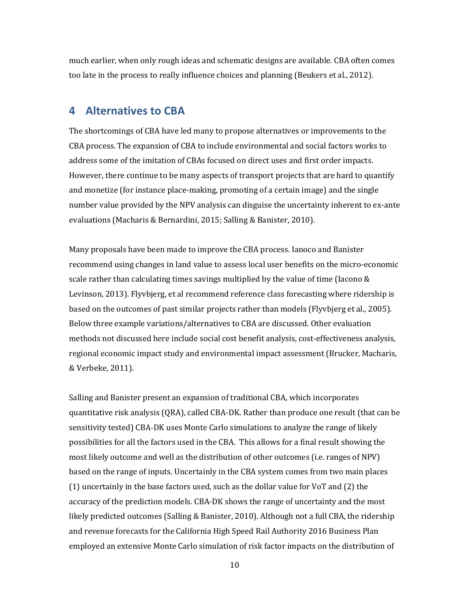much earlier, when only rough ideas and schematic designs are available. CBA often comes too late in the process to really influence choices and planning (Beukers et al., 2012).

### **4 Alternatives to CBA**

The shortcomings of CBA have led many to propose alternatives or improvements to the CBA process. The expansion of CBA to include environmental and social factors works to address some of the imitation of CBAs focused on direct uses and first order impacts. However, there continue to be many aspects of transport projects that are hard to quantify and monetize (for instance place-making, promoting of a certain image) and the single number value provided by the NPV analysis can disguise the uncertainty inherent to ex-ante evaluations (Macharis & Bernardini, 2015; Salling & Banister, 2010).

Many proposals have been made to improve the CBA process. Ianoco and Banister recommend using changes in land value to assess local user benefits on the micro-economic scale rather than calculating times savings multiplied by the value of time (Iacono & Levinson, 2013). Flyvbjerg, et al recommend reference class forecasting where ridership is based on the outcomes of past similar projects rather than models (Flyvbjerg et al., 2005). Below three example variations/alternatives to CBA are discussed. Other evaluation methods not discussed here include social cost benefit analysis, cost-effectiveness analysis, regional economic impact study and environmental impact assessment (Brucker, Macharis, & Verbeke, 2011).

Salling and Banister present an expansion of traditional CBA, which incorporates quantitative risk analysis (QRA), called CBA-DK. Rather than produce one result (that can be sensitivity tested) CBA-DK uses Monte Carlo simulations to analyze the range of likely possibilities for all the factors used in the CBA. This allows for a final result showing the most likely outcome and well as the distribution of other outcomes (i.e. ranges of NPV) based on the range of inputs. Uncertainly in the CBA system comes from two main places (1) uncertainly in the base factors used, such as the dollar value for VoT and (2) the accuracy of the prediction models. CBA-DK shows the range of uncertainty and the most likely predicted outcomes (Salling & Banister, 2010). Although not a full CBA, the ridership and revenue forecasts for the California High Speed Rail Authority 2016 Business Plan employed an extensive Monte Carlo simulation of risk factor impacts on the distribution of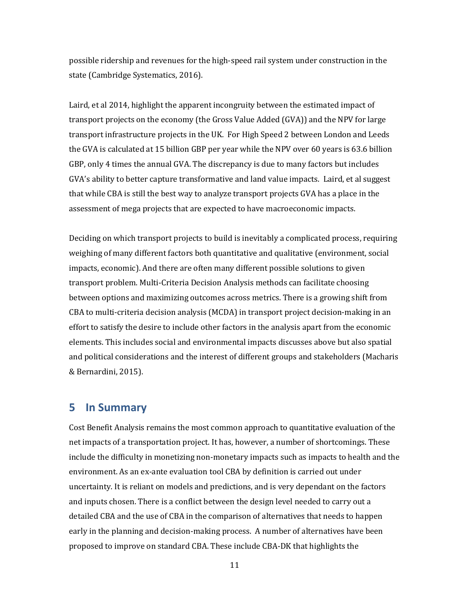possible ridership and revenues for the high-speed rail system under construction in the state (Cambridge Systematics, 2016).

Laird, et al 2014, highlight the apparent incongruity between the estimated impact of transport projects on the economy (the Gross Value Added (GVA)) and the NPV for large transport infrastructure projects in the UK. For High Speed 2 between London and Leeds the GVA is calculated at 15 billion GBP per year while the NPV over 60 years is 63.6 billion GBP, only 4 times the annual GVA. The discrepancy is due to many factors but includes GVA's ability to better capture transformative and land value impacts. Laird, et al suggest that while CBA is still the best way to analyze transport projects GVA has a place in the assessment of mega projects that are expected to have macroeconomic impacts.

Deciding on which transport projects to build is inevitably a complicated process, requiring weighing of many different factors both quantitative and qualitative (environment, social impacts, economic). And there are often many different possible solutions to given transport problem. Multi-Criteria Decision Analysis methods can facilitate choosing between options and maximizing outcomes across metrics. There is a growing shift from CBA to multi-criteria decision analysis (MCDA) in transport project decision-making in an effort to satisfy the desire to include other factors in the analysis apart from the economic elements. This includes social and environmental impacts discusses above but also spatial and political considerations and the interest of different groups and stakeholders (Macharis & Bernardini, 2015).

### **5 In Summary**

Cost Benefit Analysis remains the most common approach to quantitative evaluation of the net impacts of a transportation project. It has, however, a number of shortcomings. These include the difficulty in monetizing non-monetary impacts such as impacts to health and the environment. As an ex-ante evaluation tool CBA by definition is carried out under uncertainty. It is reliant on models and predictions, and is very dependant on the factors and inputs chosen. There is a conflict between the design level needed to carry out a detailed CBA and the use of CBA in the comparison of alternatives that needs to happen early in the planning and decision-making process. A number of alternatives have been proposed to improve on standard CBA. These include CBA-DK that highlights the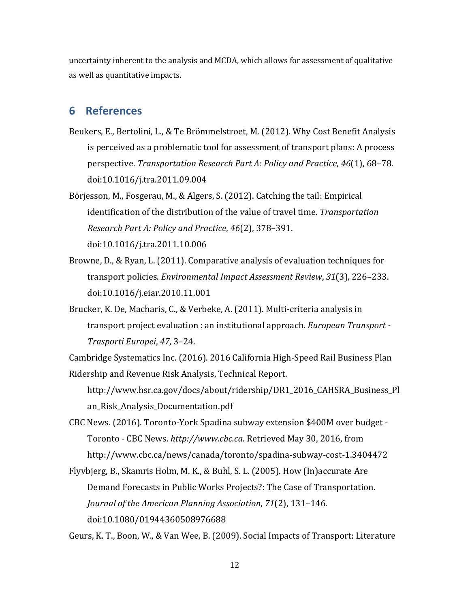uncertainty inherent to the analysis and MCDA, which allows for assessment of qualitative as well as quantitative impacts.

### **6 References**

- Beukers, E., Bertolini, L., & Te Brömmelstroet, M. (2012). Why Cost Benefit Analysis is perceived as a problematic tool for assessment of transport plans: A process perspective. *Transportation Research Part A: Policy and Practice*, *46*(1), 68–78. doi:10.1016/j.tra.2011.09.004
- Börjesson, M., Fosgerau, M., & Algers, S. (2012). Catching the tail: Empirical identification of the distribution of the value of travel time. *Transportation Research Part A: Policy and Practice*, *46*(2), 378–391. doi:10.1016/j.tra.2011.10.006
- Browne, D., & Ryan, L. (2011). Comparative analysis of evaluation techniques for transport policies. *Environmental Impact Assessment Review*, *31*(3), 226–233. doi:10.1016/j.eiar.2010.11.001
- Brucker, K. De, Macharis, C., & Verbeke, A. (2011). Multi-criteria analysis in transport project evaluation : an institutional approach. *European Transport - Trasporti Europei*, *47*, 3–24.

Cambridge Systematics Inc. (2016). 2016 California High-Speed Rail Business Plan Ridership and Revenue Risk Analysis, Technical Report.

http://www.hsr.ca.gov/docs/about/ridership/DR1\_2016\_CAHSRA\_Business\_Pl an\_Risk\_Analysis\_Documentation.pdf

CBC News. (2016). Toronto-York Spadina subway extension \$400M over budget - Toronto - CBC News. *http://www.cbc.ca*. Retrieved May 30, 2016, from http://www.cbc.ca/news/canada/toronto/spadina-subway-cost-1.3404472

Flyvbjerg, B., Skamris Holm, M. K., & Buhl, S. L. (2005). How (In)accurate Are Demand Forecasts in Public Works Projects?: The Case of Transportation. *Journal of the American Planning Association*, *71*(2), 131–146. doi:10.1080/01944360508976688

Geurs, K. T., Boon, W., & Van Wee, B. (2009). Social Impacts of Transport: Literature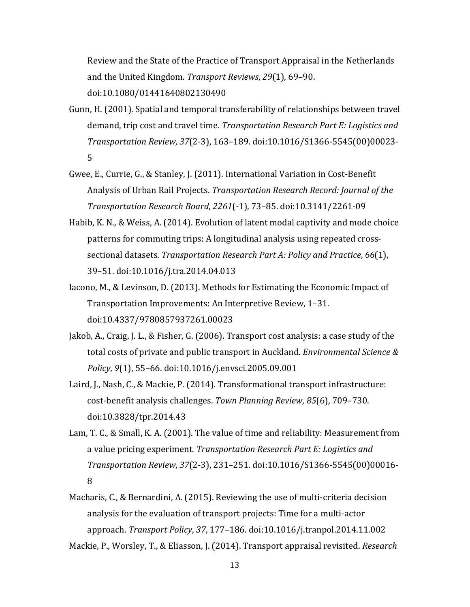Review and the State of the Practice of Transport Appraisal in the Netherlands and the United Kingdom. *Transport Reviews*, *29*(1), 69–90. doi:10.1080/01441640802130490

- Gunn, H. (2001). Spatial and temporal transferability of relationships between travel demand, trip cost and travel time. *Transportation Research Part E: Logistics and Transportation Review*, *37*(2-3), 163–189. doi:10.1016/S1366-5545(00)00023- 5
- Gwee, E., Currie, G., & Stanley, J. (2011). International Variation in Cost-Benefit Analysis of Urban Rail Projects. *Transportation Research Record: Journal of the Transportation Research Board*, *2261*(-1), 73–85. doi:10.3141/2261-09
- Habib, K. N., & Weiss, A. (2014). Evolution of latent modal captivity and mode choice patterns for commuting trips: A longitudinal analysis using repeated crosssectional datasets. *Transportation Research Part A: Policy and Practice*, *66*(1), 39–51. doi:10.1016/j.tra.2014.04.013
- Iacono, M., & Levinson, D. (2013). Methods for Estimating the Economic Impact of Transportation Improvements: An Interpretive Review, 1–31. doi:10.4337/9780857937261.00023
- Jakob, A., Craig, J. L., & Fisher, G. (2006). Transport cost analysis: a case study of the total costs of private and public transport in Auckland. *Environmental Science & Policy*, *9*(1), 55–66. doi:10.1016/j.envsci.2005.09.001
- Laird, J., Nash, C., & Mackie, P. (2014). Transformational transport infrastructure: cost-benefit analysis challenges. *Town Planning Review*, *85*(6), 709–730. doi:10.3828/tpr.2014.43
- Lam, T. C., & Small, K. A. (2001). The value of time and reliability: Measurement from a value pricing experiment. *Transportation Research Part E: Logistics and Transportation Review*, *37*(2-3), 231–251. doi:10.1016/S1366-5545(00)00016- 8
- Macharis, C., & Bernardini, A. (2015). Reviewing the use of multi-criteria decision analysis for the evaluation of transport projects: Time for a multi-actor approach. *Transport Policy*, *37*, 177–186. doi:10.1016/j.tranpol.2014.11.002
- Mackie, P., Worsley, T., & Eliasson, J. (2014). Transport appraisal revisited. *Research*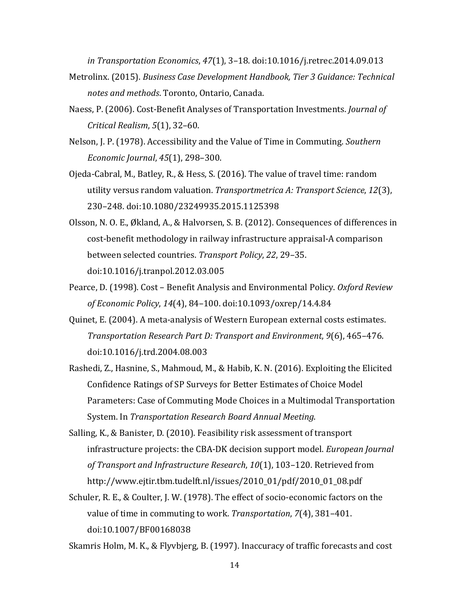*in Transportation Economics*, *47*(1), 3–18. doi:10.1016/j.retrec.2014.09.013

- Metrolinx. (2015). *Business Case Development Handbook, Tier 3 Guidance: Technical notes and methods*. Toronto, Ontario, Canada.
- Naess, P. (2006). Cost-Benefit Analyses of Transportation Investments. *Journal of Critical Realism*, *5*(1), 32–60.
- Nelson, J. P. (1978). Accessibility and the Value of Time in Commuting. *Southern Economic Journal*, *45*(1), 298–300.
- Ojeda-Cabral, M., Batley, R., & Hess, S. (2016). The value of travel time: random utility versus random valuation. *Transportmetrica A: Transport Science*, *12*(3), 230–248. doi:10.1080/23249935.2015.1125398
- Olsson, N. O. E., Økland, A., & Halvorsen, S. B. (2012). Consequences of differences in cost-benefit methodology in railway infrastructure appraisal-A comparison between selected countries. *Transport Policy*, *22*, 29–35. doi:10.1016/j.tranpol.2012.03.005
- Pearce, D. (1998). Cost Benefit Analysis and Environmental Policy. *Oxford Review of Economic Policy*, *14*(4), 84–100. doi:10.1093/oxrep/14.4.84
- Quinet, E. (2004). A meta-analysis of Western European external costs estimates. *Transportation Research Part D: Transport and Environment*, *9*(6), 465–476. doi:10.1016/j.trd.2004.08.003
- Rashedi, Z., Hasnine, S., Mahmoud, M., & Habib, K. N. (2016). Exploiting the Elicited Confidence Ratings of SP Surveys for Better Estimates of Choice Model Parameters: Case of Commuting Mode Choices in a Multimodal Transportation System. In *Transportation Research Board Annual Meeting*.
- Salling, K., & Banister, D. (2010). Feasibility risk assessment of transport infrastructure projects: the CBA-DK decision support model. *European Journal of Transport and Infrastructure Research*, *10*(1), 103–120. Retrieved from http://www.ejtir.tbm.tudelft.nl/issues/2010\_01/pdf/2010\_01\_08.pdf
- Schuler, R. E., & Coulter, J. W. (1978). The effect of socio-economic factors on the value of time in commuting to work. *Transportation*, *7*(4), 381–401. doi:10.1007/BF00168038

Skamris Holm, M. K., & Flyvbjerg, B. (1997). Inaccuracy of traffic forecasts and cost